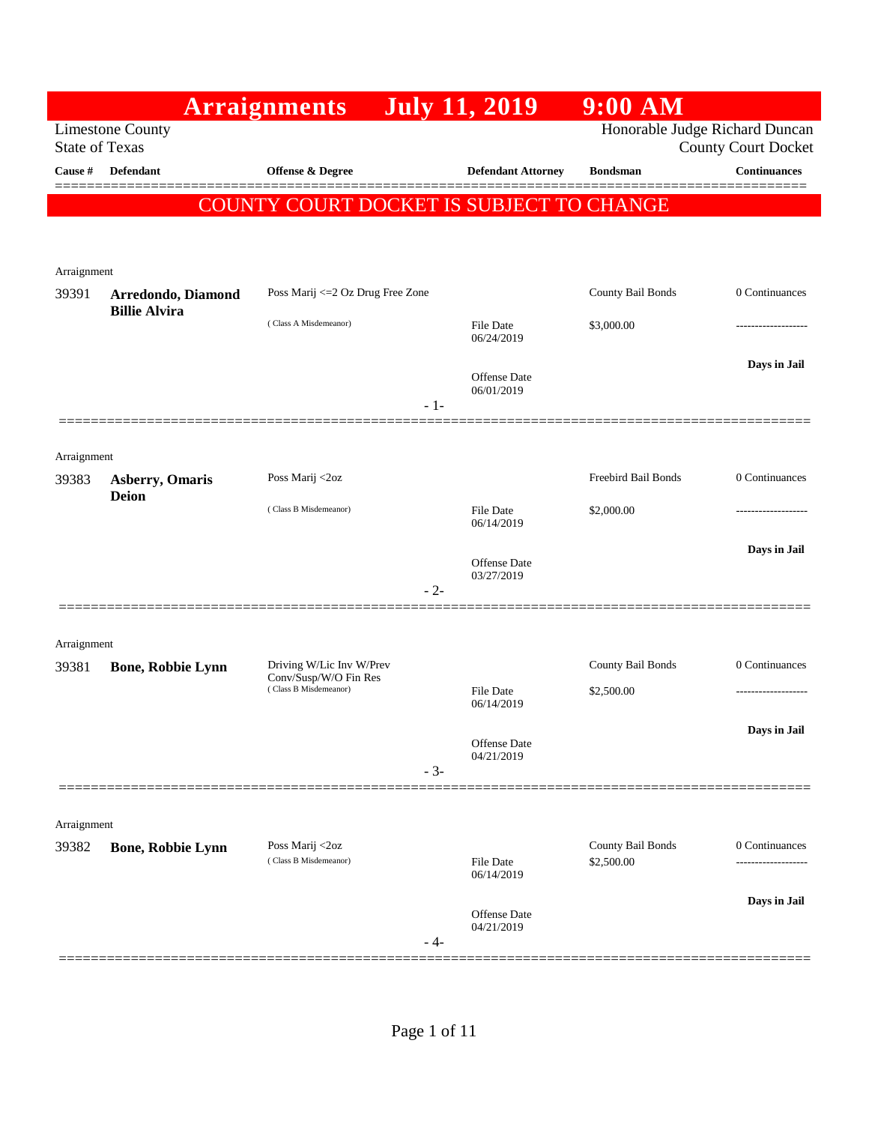|                       |                                            | <b>Arraignments</b>                            | <b>July 11, 2019</b>           | $9:00$ AM                       |                                 |
|-----------------------|--------------------------------------------|------------------------------------------------|--------------------------------|---------------------------------|---------------------------------|
| <b>State of Texas</b> | <b>Limestone County</b>                    |                                                |                                | Honorable Judge Richard Duncan  | <b>County Court Docket</b>      |
| Cause #               | <b>Defendant</b>                           | Offense & Degree                               | <b>Defendant Attorney</b>      | <b>Bondsman</b>                 | <b>Continuances</b>             |
|                       |                                            | COUNTY COURT DOCKET IS SUBJECT TO CHANGE       |                                |                                 |                                 |
|                       |                                            |                                                |                                |                                 |                                 |
| Arraignment           |                                            |                                                |                                |                                 |                                 |
| 39391                 | Arredondo, Diamond<br><b>Billie Alvira</b> | Poss Marij <= 2 Oz Drug Free Zone              |                                | County Bail Bonds               | 0 Continuances                  |
|                       |                                            | (Class A Misdemeanor)                          | <b>File Date</b><br>06/24/2019 | \$3,000.00                      |                                 |
|                       |                                            |                                                | Offense Date                   |                                 | Days in Jail                    |
|                       |                                            | $-1-$                                          | 06/01/2019                     |                                 |                                 |
| Arraignment           |                                            |                                                |                                |                                 |                                 |
| 39383                 | <b>Asberry, Omaris</b>                     | Poss Marij <2oz                                |                                | Freebird Bail Bonds             | 0 Continuances                  |
|                       | <b>Deion</b>                               | (Class B Misdemeanor)                          | <b>File Date</b><br>06/14/2019 | \$2,000.00                      |                                 |
|                       |                                            |                                                | Offense Date                   |                                 | Days in Jail                    |
|                       |                                            | $-2-$                                          | 03/27/2019                     |                                 |                                 |
|                       |                                            |                                                |                                |                                 |                                 |
| Arraignment<br>39381  | <b>Bone, Robbie Lynn</b>                   | Driving W/Lic Inv W/Prev                       |                                | County Bail Bonds               | 0 Continuances                  |
|                       |                                            | Conv/Susp/W/O Fin Res<br>(Class B Misdemeanor) | File Date                      | \$2,500.00                      |                                 |
|                       |                                            |                                                | 06/14/2019                     |                                 | Days in Jail                    |
|                       |                                            |                                                | Offense Date<br>04/21/2019     |                                 |                                 |
|                       |                                            | $-3-$                                          |                                |                                 |                                 |
| Arraignment           |                                            |                                                |                                |                                 |                                 |
| 39382                 | <b>Bone, Robbie Lynn</b>                   | Poss Marij <2oz<br>(Class B Misdemeanor)       | File Date                      | County Bail Bonds<br>\$2,500.00 | 0 Continuances<br>------------- |
|                       |                                            |                                                | 06/14/2019                     |                                 | Days in Jail                    |
|                       |                                            | - 4-                                           | Offense Date<br>04/21/2019     |                                 |                                 |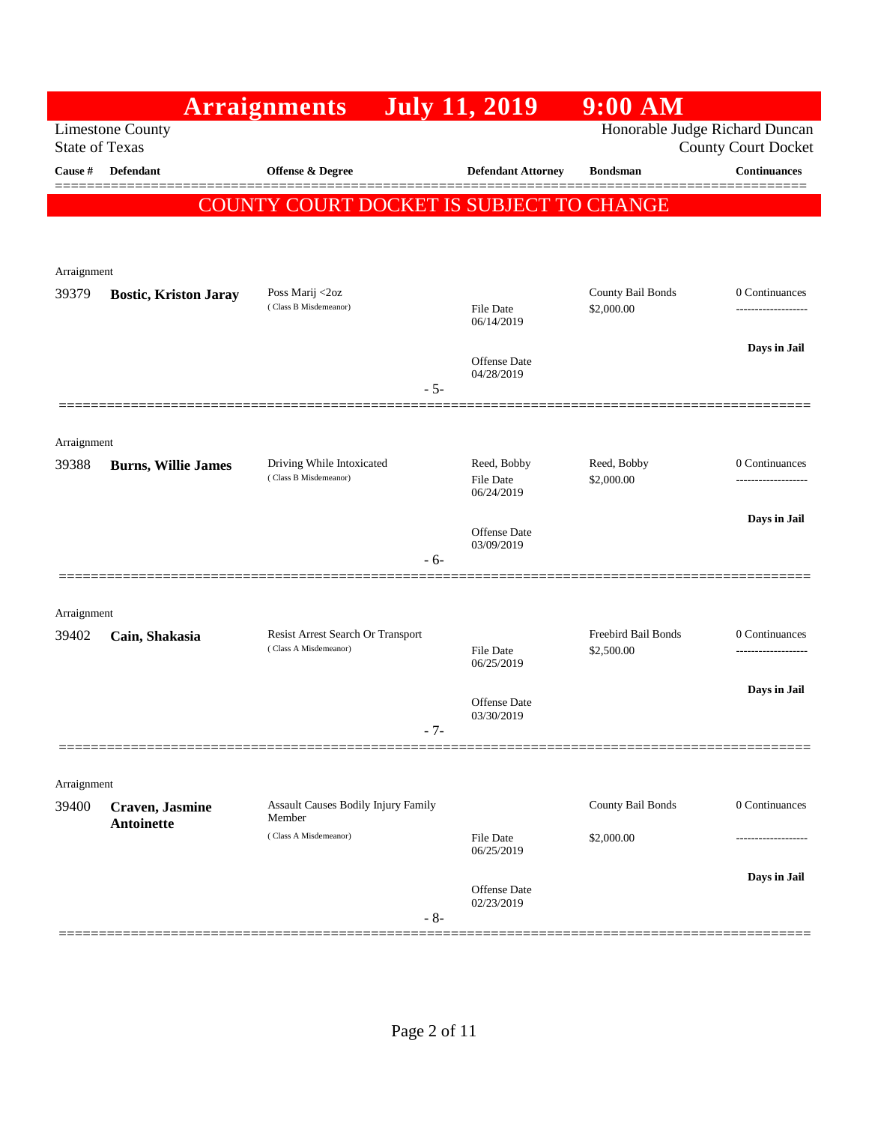|                       |                              | <b>Arraignments</b>                      | <b>July 11, 2019</b>              | $9:00$ AM                       |                                                              |
|-----------------------|------------------------------|------------------------------------------|-----------------------------------|---------------------------------|--------------------------------------------------------------|
| <b>State of Texas</b> | <b>Limestone County</b>      |                                          |                                   |                                 | Honorable Judge Richard Duncan<br><b>County Court Docket</b> |
| Cause #               | Defendant                    | <b>Offense &amp; Degree</b>              | <b>Defendant Attorney</b>         | <b>Bondsman</b>                 | <b>Continuances</b>                                          |
|                       |                              | COUNTY COURT DOCKET IS SUBJECT TO CHANGE |                                   |                                 |                                                              |
|                       |                              |                                          |                                   |                                 |                                                              |
|                       |                              |                                          |                                   |                                 |                                                              |
| Arraignment           |                              |                                          |                                   |                                 |                                                              |
| 39379                 | <b>Bostic, Kriston Jaray</b> | Poss Marij <2oz<br>(Class B Misdemeanor) | File Date<br>06/14/2019           | County Bail Bonds<br>\$2,000.00 | 0 Continuances<br>.                                          |
|                       |                              |                                          |                                   |                                 | Days in Jail                                                 |
|                       |                              |                                          | <b>Offense</b> Date<br>04/28/2019 |                                 |                                                              |
|                       |                              |                                          | $-5-$                             |                                 |                                                              |
|                       |                              |                                          |                                   |                                 |                                                              |
| Arraignment<br>39388  | <b>Burns, Willie James</b>   | Driving While Intoxicated                | Reed, Bobby                       | Reed, Bobby                     | 0 Continuances                                               |
|                       |                              | (Class B Misdemeanor)                    | <b>File Date</b><br>06/24/2019    | \$2,000.00                      | ----------------                                             |
|                       |                              |                                          |                                   |                                 | Days in Jail                                                 |
|                       |                              |                                          | Offense Date<br>03/09/2019        |                                 |                                                              |
|                       |                              |                                          | - 6-                              |                                 |                                                              |
|                       |                              |                                          |                                   |                                 |                                                              |
| Arraignment<br>39402  | Cain, Shakasia               | Resist Arrest Search Or Transport        |                                   | Freebird Bail Bonds             | 0 Continuances                                               |
|                       |                              | (Class A Misdemeanor)                    | <b>File Date</b><br>06/25/2019    | \$2,500.00                      | ---------------                                              |
|                       |                              |                                          |                                   |                                 | Days in Jail                                                 |
|                       |                              |                                          | Offense Date<br>03/30/2019        |                                 |                                                              |
|                       |                              |                                          |                                   |                                 |                                                              |
|                       |                              |                                          |                                   |                                 |                                                              |
| Arraignment<br>39400  | <b>Craven</b> , Jasmine      | Assault Causes Bodily Injury Family      |                                   | County Bail Bonds               | 0 Continuances                                               |
|                       | Antoinette                   | Member                                   |                                   |                                 |                                                              |
|                       |                              | (Class A Misdemeanor)                    | <b>File Date</b><br>06/25/2019    | \$2,000.00                      |                                                              |
|                       |                              |                                          |                                   |                                 | Days in Jail                                                 |
|                       |                              |                                          | Offense Date<br>02/23/2019        |                                 |                                                              |
|                       |                              |                                          | $-8-$                             |                                 |                                                              |

Ī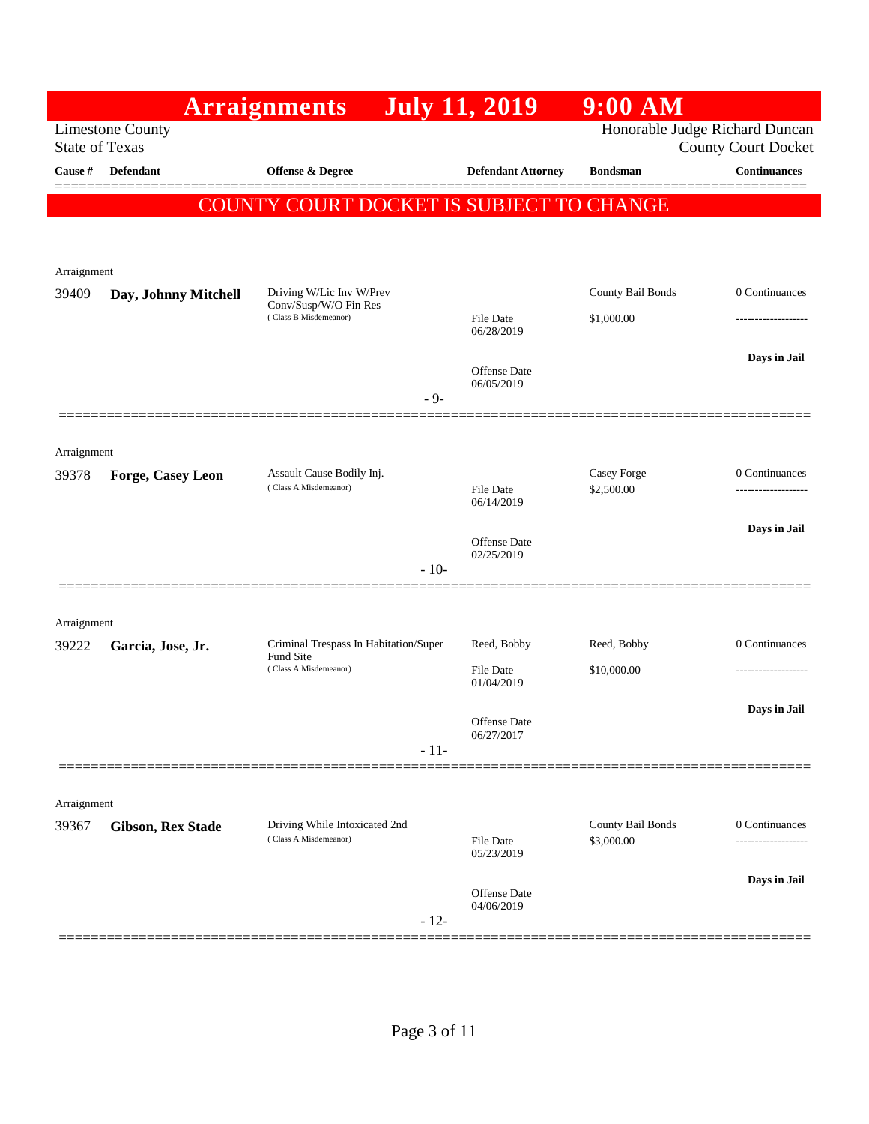|                      |                                                  | <b>Arraignments</b>                            | <b>July 11, 2019</b>       | $9:00$ AM                      |                            |
|----------------------|--------------------------------------------------|------------------------------------------------|----------------------------|--------------------------------|----------------------------|
|                      | <b>Limestone County</b><br><b>State of Texas</b> |                                                |                            | Honorable Judge Richard Duncan | <b>County Court Docket</b> |
| Cause #              | Defendant                                        | <b>Offense &amp; Degree</b>                    | <b>Defendant Attorney</b>  | <b>Bondsman</b>                | <b>Continuances</b>        |
|                      |                                                  | COUNTY COURT DOCKET IS SUBJECT TO CHANGE       |                            |                                |                            |
|                      |                                                  |                                                |                            |                                |                            |
|                      |                                                  |                                                |                            |                                |                            |
| Arraignment          |                                                  | Driving W/Lic Inv W/Prev                       |                            | County Bail Bonds              | 0 Continuances             |
| 39409                | Day, Johnny Mitchell                             | Conv/Susp/W/O Fin Res<br>(Class B Misdemeanor) | <b>File Date</b>           | \$1,000.00                     |                            |
|                      |                                                  |                                                | 06/28/2019                 |                                |                            |
|                      |                                                  |                                                | Offense Date               |                                | Days in Jail               |
|                      |                                                  | $-9-$                                          | 06/05/2019                 |                                |                            |
|                      |                                                  |                                                |                            |                                |                            |
| Arraignment          |                                                  |                                                |                            |                                |                            |
| 39378                | Forge, Casey Leon                                | Assault Cause Bodily Inj.                      |                            | Casey Forge                    | 0 Continuances             |
|                      |                                                  | (Class A Misdemeanor)                          | File Date<br>06/14/2019    | \$2,500.00                     |                            |
|                      |                                                  |                                                |                            |                                | Days in Jail               |
|                      |                                                  |                                                | Offense Date<br>02/25/2019 |                                |                            |
|                      |                                                  | $-10-$                                         |                            |                                |                            |
|                      |                                                  |                                                |                            |                                |                            |
| Arraignment<br>39222 | Garcia, Jose, Jr.                                | Criminal Trespass In Habitation/Super          | Reed, Bobby                | Reed, Bobby                    | 0 Continuances             |
|                      |                                                  | Fund Site<br>(Class A Misdemeanor)             | File Date                  | \$10,000.00                    |                            |
|                      |                                                  |                                                | 01/04/2019                 |                                |                            |
|                      |                                                  |                                                | <b>Offense</b> Date        |                                | Days in Jail               |
|                      |                                                  | $-11-$                                         | 06/27/2017                 |                                |                            |
|                      |                                                  |                                                |                            |                                |                            |
| Arraignment          |                                                  |                                                |                            |                                |                            |
| 39367                | <b>Gibson, Rex Stade</b>                         | Driving While Intoxicated 2nd                  |                            | County Bail Bonds              | 0 Continuances             |
|                      |                                                  | (Class A Misdemeanor)                          | File Date<br>05/23/2019    | \$3,000.00                     |                            |
|                      |                                                  |                                                | Offense Date               |                                | Days in Jail               |
|                      |                                                  |                                                | 04/06/2019                 |                                |                            |
|                      |                                                  | $-12-$                                         |                            |                                |                            |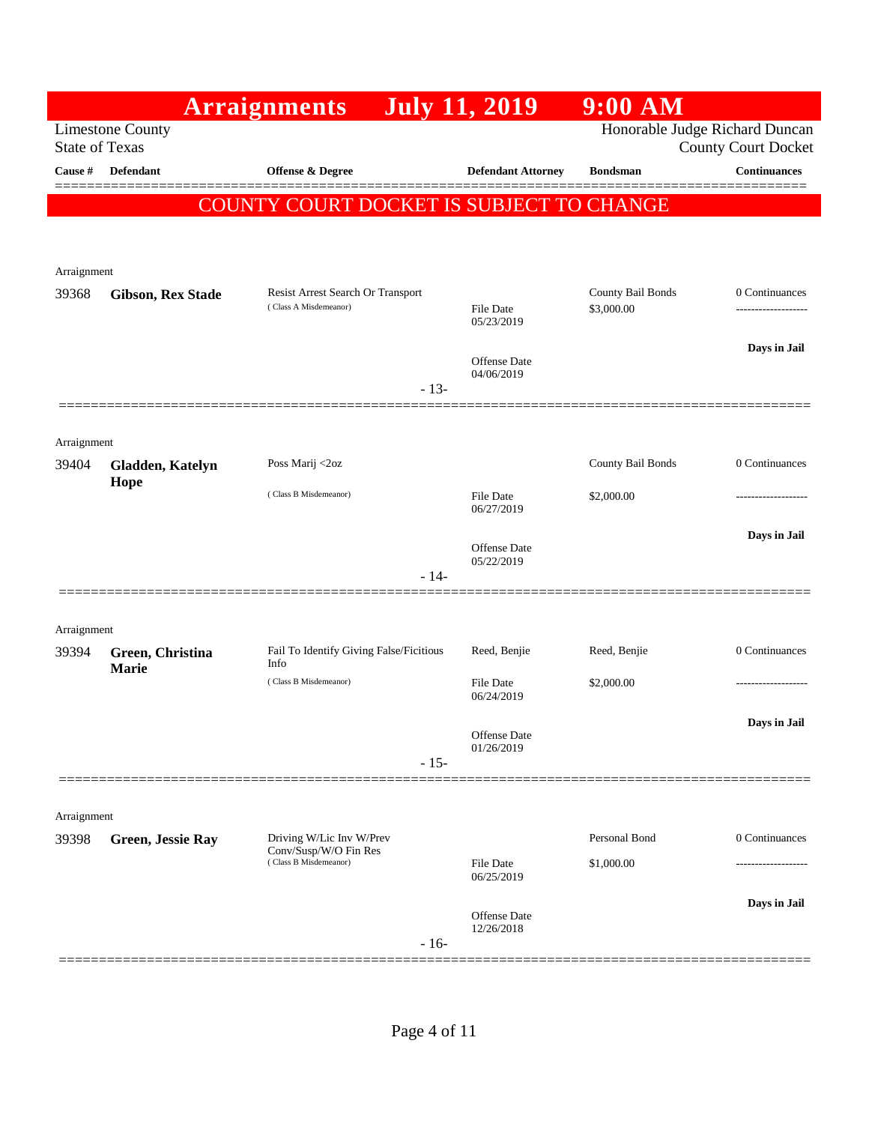|                       |                          | <b>Arraignments</b>                                        | <b>July 11, 2019</b>              | 9:00 AM                         |                                     |
|-----------------------|--------------------------|------------------------------------------------------------|-----------------------------------|---------------------------------|-------------------------------------|
| <b>State of Texas</b> | <b>Limestone County</b>  |                                                            |                                   | Honorable Judge Richard Duncan  | <b>County Court Docket</b>          |
| Cause #               | <b>Defendant</b>         | Offense & Degree                                           | <b>Defendant Attorney</b>         | <b>Bondsman</b>                 | <b>Continuances</b>                 |
|                       |                          | COUNTY COURT DOCKET IS SUBJECT TO CHANGE                   |                                   |                                 |                                     |
|                       |                          |                                                            |                                   |                                 |                                     |
|                       |                          |                                                            |                                   |                                 |                                     |
| Arraignment           |                          |                                                            |                                   |                                 |                                     |
| 39368                 | <b>Gibson, Rex Stade</b> | Resist Arrest Search Or Transport<br>(Class A Misdemeanor) | <b>File Date</b><br>05/23/2019    | County Bail Bonds<br>\$3,000.00 | 0 Continuances<br>----------------- |
|                       |                          |                                                            |                                   |                                 | Days in Jail                        |
|                       |                          |                                                            | Offense Date<br>04/06/2019        |                                 |                                     |
|                       |                          | $-13-$                                                     |                                   |                                 |                                     |
|                       |                          |                                                            |                                   |                                 |                                     |
| Arraignment<br>39404  | Gladden, Katelyn         | Poss Marij <2oz                                            |                                   | County Bail Bonds               | 0 Continuances                      |
|                       | Hope                     | (Class B Misdemeanor)                                      | <b>File Date</b>                  | \$2,000.00                      |                                     |
|                       |                          |                                                            | 06/27/2019                        |                                 |                                     |
|                       |                          |                                                            | Offense Date                      |                                 | Days in Jail                        |
|                       |                          | $-14-$                                                     | 05/22/2019                        |                                 |                                     |
|                       |                          |                                                            |                                   |                                 |                                     |
| Arraignment           |                          |                                                            |                                   |                                 |                                     |
| 39394                 | Green, Christina         | Fail To Identify Giving False/Ficitious                    | Reed, Benjie                      | Reed, Benjie                    | 0 Continuances                      |
|                       | <b>Marie</b>             | Info<br>(Class B Misdemeanor)                              | File Date                         | \$2,000.00                      |                                     |
|                       |                          |                                                            | 06/24/2019                        |                                 |                                     |
|                       |                          |                                                            | Offense Date                      |                                 | Days in Jail                        |
|                       |                          | $-15-$                                                     | 01/26/2019                        |                                 |                                     |
|                       |                          |                                                            |                                   |                                 |                                     |
| Arraignment           |                          |                                                            |                                   |                                 |                                     |
| 39398                 | Green, Jessie Ray        | Driving W/Lic Inv W/Prev<br>Conv/Susp/W/O Fin Res          |                                   | Personal Bond                   | 0 Continuances                      |
|                       |                          | (Class B Misdemeanor)                                      | <b>File Date</b><br>06/25/2019    | \$1,000.00                      | -----------------                   |
|                       |                          |                                                            |                                   |                                 | Days in Jail                        |
|                       |                          | $-16-$                                                     | <b>Offense Date</b><br>12/26/2018 |                                 |                                     |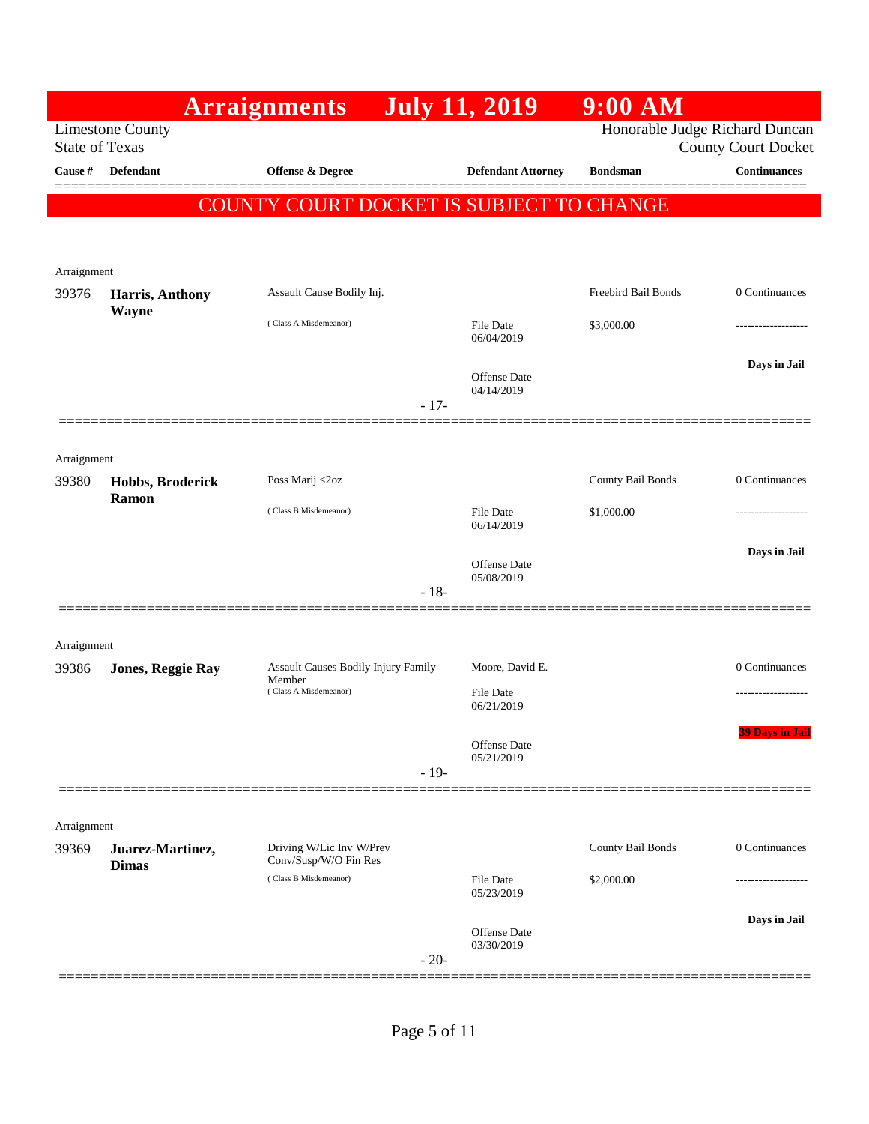|                       |                          | <b>Arraignments</b>                            | <b>July 11, 2019</b>              | $9:00$ AM                      |                            |
|-----------------------|--------------------------|------------------------------------------------|-----------------------------------|--------------------------------|----------------------------|
| <b>State of Texas</b> | <b>Limestone County</b>  |                                                |                                   | Honorable Judge Richard Duncan | <b>County Court Docket</b> |
| Cause #               | <b>Defendant</b>         | Offense & Degree                               | <b>Defendant Attorney</b>         | <b>Bondsman</b>                | <b>Continuances</b>        |
|                       |                          | COUNTY COURT DOCKET IS SUBJECT TO CHANGE       |                                   |                                |                            |
|                       |                          |                                                |                                   |                                |                            |
|                       |                          |                                                |                                   |                                |                            |
| Arraignment<br>39376  | Harris, Anthony          | Assault Cause Bodily Inj.                      |                                   | Freebird Bail Bonds            | 0 Continuances             |
|                       | Wayne                    | (Class A Misdemeanor)                          | File Date                         | \$3,000.00                     | .                          |
|                       |                          |                                                | 06/04/2019                        |                                |                            |
|                       |                          |                                                | <b>Offense Date</b><br>04/14/2019 |                                | Days in Jail               |
|                       |                          |                                                | $-17-$                            |                                |                            |
|                       |                          |                                                |                                   |                                |                            |
| Arraignment<br>39380  | Hobbs, Broderick         | Poss Marij <2oz                                |                                   | County Bail Bonds              | 0 Continuances             |
|                       | Ramon                    | (Class B Misdemeanor)                          | <b>File Date</b>                  | \$1,000.00                     | .                          |
|                       |                          |                                                | 06/14/2019                        |                                |                            |
|                       |                          |                                                | <b>Offense Date</b><br>05/08/2019 |                                | Days in Jail               |
|                       |                          |                                                | $-18-$                            |                                |                            |
|                       |                          |                                                |                                   |                                |                            |
| Arraignment<br>39386  | <b>Jones, Reggie Ray</b> | <b>Assault Causes Bodily Injury Family</b>     | Moore, David E.                   |                                | 0 Continuances             |
|                       |                          | Member<br>(Class A Misdemeanor)                | File Date                         |                                |                            |
|                       |                          |                                                | 06/21/2019                        |                                |                            |
|                       |                          |                                                | <b>Offense Date</b><br>05/21/2019 |                                | <b>39 Days in Jail</b>     |
|                       |                          |                                                | $-19-$                            |                                |                            |
|                       |                          |                                                |                                   |                                |                            |
| Arraignment<br>39369  | Juarez-Martinez,         | Driving W/Lic Inv W/Prev                       |                                   | County Bail Bonds              | 0 Continuances             |
|                       | <b>Dimas</b>             | Conv/Susp/W/O Fin Res<br>(Class B Misdemeanor) | File Date                         | \$2,000.00                     |                            |
|                       |                          |                                                | 05/23/2019                        |                                |                            |
|                       |                          |                                                | <b>Offense Date</b>               |                                | Days in Jail               |
|                       |                          |                                                | 03/30/2019<br>$-20-$              |                                |                            |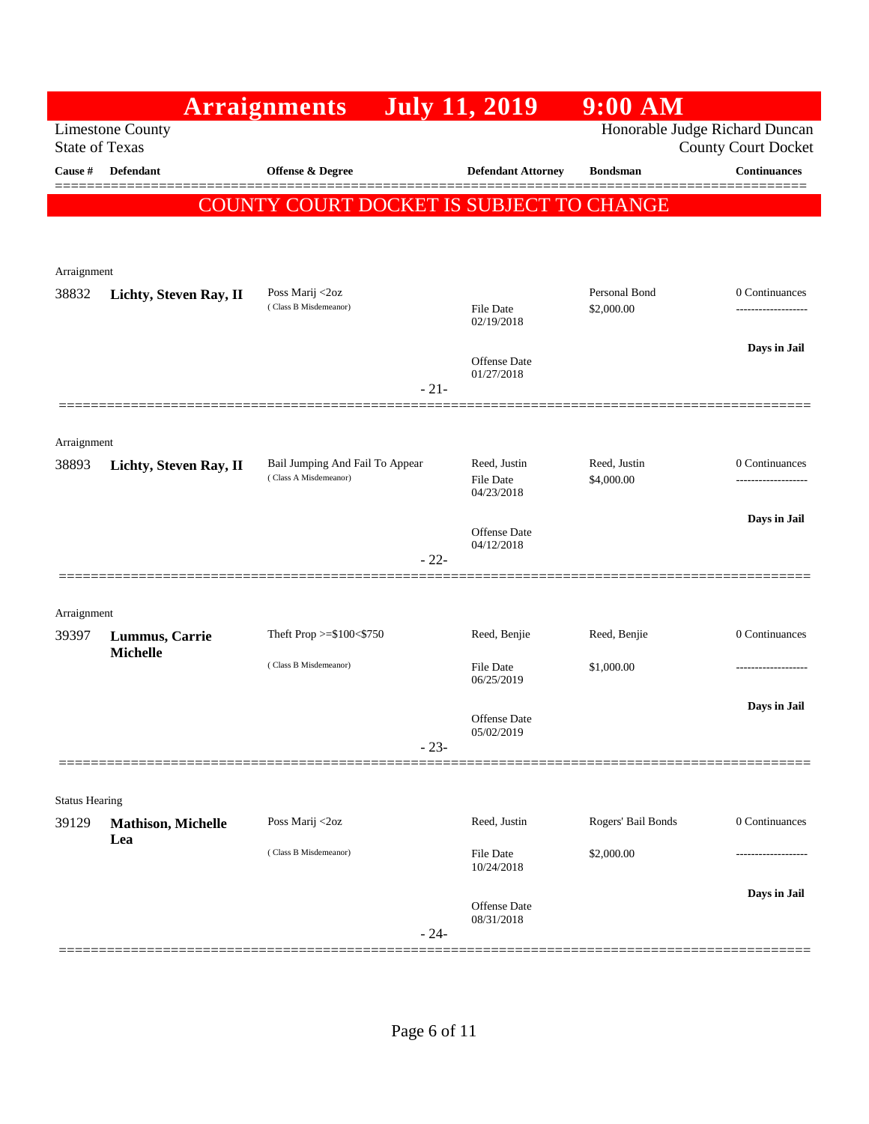|                       |                           | <b>Arraignments</b>                      | <b>July 11, 2019</b>              | $9:00$ AM          |                                                              |
|-----------------------|---------------------------|------------------------------------------|-----------------------------------|--------------------|--------------------------------------------------------------|
| <b>State of Texas</b> | <b>Limestone County</b>   |                                          |                                   |                    | Honorable Judge Richard Duncan<br><b>County Court Docket</b> |
| Cause #               | <b>Defendant</b>          | <b>Offense &amp; Degree</b>              | <b>Defendant Attorney</b>         | <b>Bondsman</b>    | <b>Continuances</b>                                          |
|                       |                           | COUNTY COURT DOCKET IS SUBJECT TO CHANGE |                                   |                    | ======                                                       |
|                       |                           |                                          |                                   |                    |                                                              |
|                       |                           |                                          |                                   |                    |                                                              |
| Arraignment           |                           | Poss Marij <2oz                          |                                   | Personal Bond      | 0 Continuances                                               |
| 38832                 | Lichty, Steven Ray, II    | (Class B Misdemeanor)                    | File Date<br>02/19/2018           | \$2,000.00         |                                                              |
|                       |                           |                                          | Offense Date<br>01/27/2018        |                    | Days in Jail                                                 |
|                       |                           | $-21-$                                   |                                   |                    |                                                              |
|                       |                           |                                          |                                   |                    |                                                              |
| Arraignment<br>38893  | Lichty, Steven Ray, II    | Bail Jumping And Fail To Appear          | Reed, Justin                      | Reed, Justin       | 0 Continuances                                               |
|                       |                           | (Class A Misdemeanor)                    | <b>File Date</b><br>04/23/2018    | \$4,000.00         |                                                              |
|                       |                           |                                          |                                   |                    | Days in Jail                                                 |
|                       |                           |                                          | Offense Date<br>04/12/2018        |                    |                                                              |
|                       |                           | $-22-$                                   |                                   |                    |                                                              |
| Arraignment           |                           |                                          |                                   |                    |                                                              |
| 39397                 | Lummus, Carrie            | Theft Prop >=\$100<\$750                 | Reed, Benjie                      | Reed, Benjie       | 0 Continuances                                               |
|                       | <b>Michelle</b>           | (Class B Misdemeanor)                    | <b>File Date</b><br>06/25/2019    | \$1,000.00         |                                                              |
|                       |                           |                                          |                                   |                    | Days in Jail                                                 |
|                       |                           |                                          | <b>Offense Date</b><br>05/02/2019 |                    |                                                              |
|                       |                           | $-23-$                                   |                                   |                    |                                                              |
| <b>Status Hearing</b> |                           |                                          |                                   |                    |                                                              |
| 39129                 | <b>Mathison, Michelle</b> | Poss Marij <2oz                          | Reed, Justin                      | Rogers' Bail Bonds | 0 Continuances                                               |
|                       | Lea                       | (Class B Misdemeanor)                    | <b>File Date</b><br>10/24/2018    | \$2,000.00         |                                                              |
|                       |                           |                                          |                                   |                    | Days in Jail                                                 |
|                       |                           | $-24-$                                   | Offense Date<br>08/31/2018        |                    |                                                              |
|                       |                           |                                          |                                   |                    |                                                              |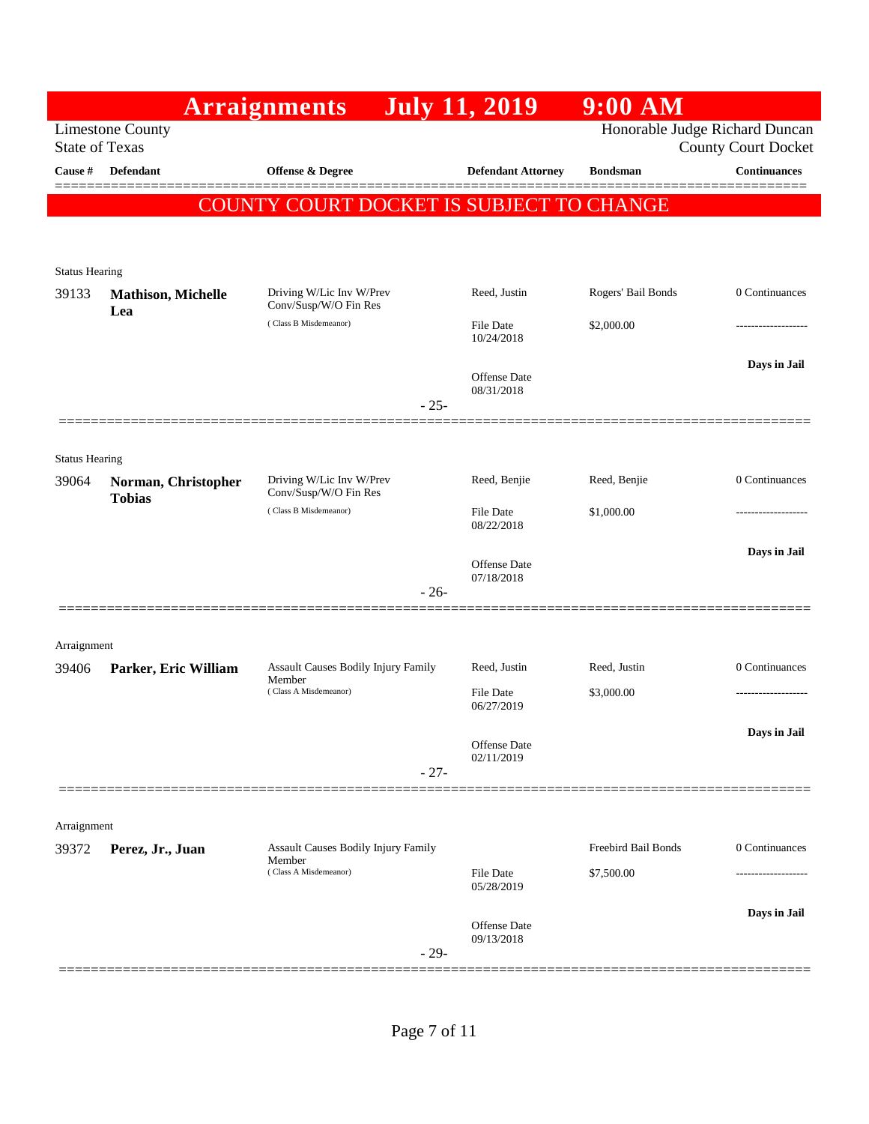|                       |                                                  | <b>Arraignments</b>                                                           | <b>July 11, 2019</b>           | $9:00$ AM                      |                            |
|-----------------------|--------------------------------------------------|-------------------------------------------------------------------------------|--------------------------------|--------------------------------|----------------------------|
|                       | <b>Limestone County</b><br><b>State of Texas</b> |                                                                               |                                | Honorable Judge Richard Duncan | <b>County Court Docket</b> |
| Cause #               | <b>Defendant</b>                                 | <b>Offense &amp; Degree</b>                                                   | <b>Defendant Attorney</b>      | <b>Bondsman</b>                | <b>Continuances</b>        |
|                       |                                                  | COUNTY COURT DOCKET IS SUBJECT TO CHANGE                                      |                                |                                |                            |
|                       |                                                  |                                                                               |                                |                                |                            |
| <b>Status Hearing</b> |                                                  |                                                                               |                                |                                |                            |
| 39133                 | <b>Mathison, Michelle</b><br>Lea                 | Driving W/Lic Inv W/Prev<br>Conv/Susp/W/O Fin Res                             | Reed, Justin                   | Rogers' Bail Bonds             | 0 Continuances             |
|                       |                                                  | (Class B Misdemeanor)                                                         | File Date<br>10/24/2018        | \$2,000.00                     | ----------------           |
|                       |                                                  |                                                                               | <b>Offense Date</b>            |                                | Days in Jail               |
|                       |                                                  | $-25-$                                                                        | 08/31/2018                     |                                |                            |
|                       |                                                  |                                                                               |                                |                                |                            |
| <b>Status Hearing</b> |                                                  |                                                                               |                                |                                |                            |
| 39064                 | Norman, Christopher<br><b>Tobias</b>             | Driving W/Lic Inv W/Prev<br>Conv/Susp/W/O Fin Res                             | Reed, Benjie                   | Reed, Benjie                   | 0 Continuances             |
|                       |                                                  | (Class B Misdemeanor)                                                         | File Date<br>08/22/2018        | \$1,000.00                     | -----------------          |
|                       |                                                  |                                                                               | <b>Offense</b> Date            |                                | Days in Jail               |
|                       |                                                  | $-26-$                                                                        | 07/18/2018                     |                                |                            |
|                       |                                                  |                                                                               |                                |                                |                            |
| Arraignment           |                                                  |                                                                               |                                |                                |                            |
| 39406                 | Parker, Eric William                             | <b>Assault Causes Bodily Injury Family</b><br>Member                          | Reed, Justin                   | Reed, Justin                   | 0 Continuances             |
|                       |                                                  | (Class A Misdemeanor)                                                         | <b>File Date</b><br>06/27/2019 | \$3,000.00                     |                            |
|                       |                                                  |                                                                               | <b>Offense</b> Date            |                                | Days in Jail               |
|                       |                                                  | $-27-$                                                                        | 02/11/2019                     |                                |                            |
|                       |                                                  |                                                                               |                                |                                |                            |
| Arraignment           |                                                  |                                                                               |                                |                                |                            |
| 39372                 | Perez, Jr., Juan                                 | <b>Assault Causes Bodily Injury Family</b><br>Member<br>(Class A Misdemeanor) |                                | Freebird Bail Bonds            | 0 Continuances             |
|                       |                                                  |                                                                               | <b>File Date</b><br>05/28/2019 | \$7,500.00                     |                            |
|                       |                                                  |                                                                               | Offense Date                   |                                | Days in Jail               |
|                       |                                                  | $-29-$                                                                        | 09/13/2018                     |                                |                            |
|                       |                                                  |                                                                               |                                |                                |                            |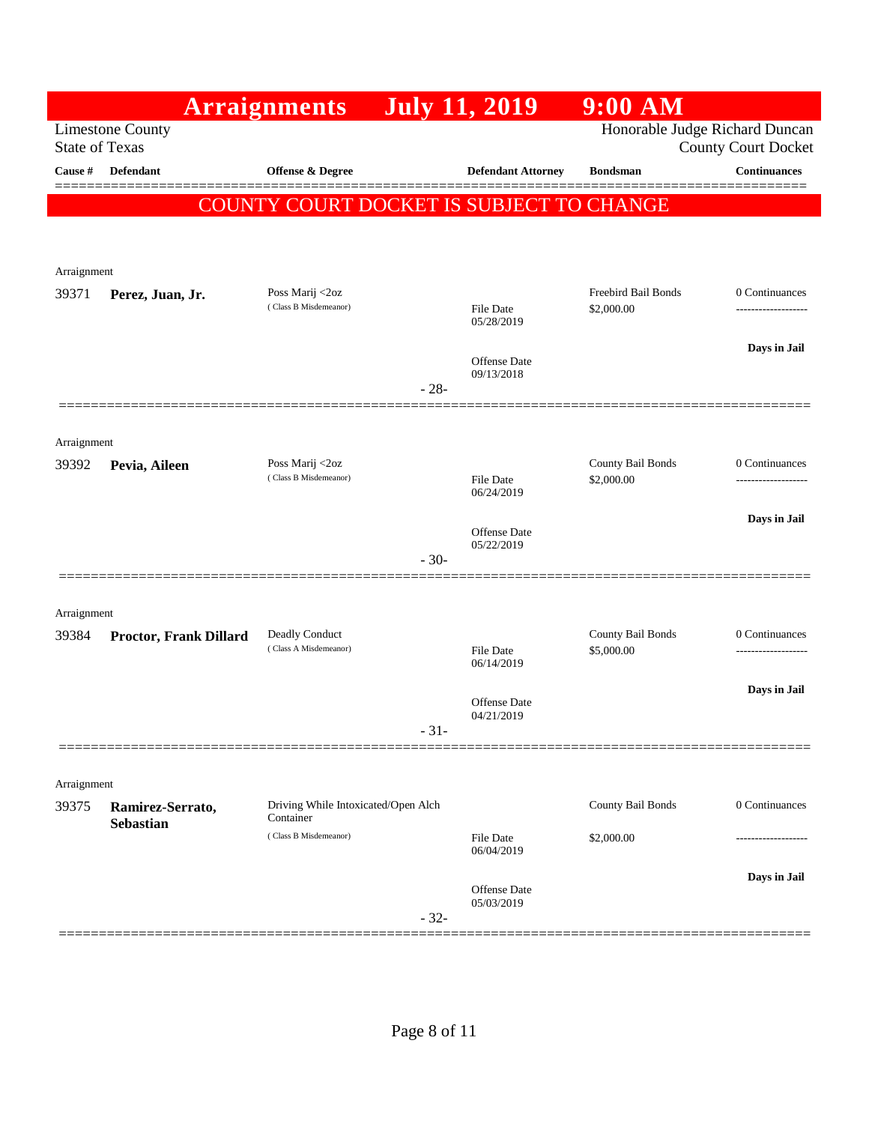|                       |                         | <b>Arraignments</b>                              |        | <b>July 11, 2019</b>                     | $9:00$ AM                       |                                     |
|-----------------------|-------------------------|--------------------------------------------------|--------|------------------------------------------|---------------------------------|-------------------------------------|
| <b>State of Texas</b> | <b>Limestone County</b> |                                                  |        |                                          | Honorable Judge Richard Duncan  | <b>County Court Docket</b>          |
| Cause #               | <b>Defendant</b>        | <b>Offense &amp; Degree</b>                      |        | <b>Defendant Attorney</b>                | <b>Bondsman</b>                 | <b>Continuances</b>                 |
|                       |                         |                                                  |        | COUNTY COURT DOCKET IS SUBJECT TO CHANGE |                                 |                                     |
|                       |                         |                                                  |        |                                          |                                 |                                     |
| Arraignment           |                         |                                                  |        |                                          |                                 |                                     |
| 39371                 | Perez, Juan, Jr.        | Poss Marij <2oz<br>(Class B Misdemeanor)         |        |                                          | Freebird Bail Bonds             | 0 Continuances                      |
|                       |                         |                                                  |        | File Date<br>05/28/2019                  | \$2,000.00                      | .                                   |
|                       |                         |                                                  |        | <b>Offense</b> Date                      |                                 | Days in Jail                        |
|                       |                         |                                                  | $-28-$ | 09/13/2018                               |                                 |                                     |
|                       |                         |                                                  |        |                                          |                                 |                                     |
| Arraignment           |                         |                                                  |        |                                          |                                 |                                     |
| 39392                 | Pevia, Aileen           | Poss Marij <2oz<br>(Class B Misdemeanor)         |        | <b>File Date</b>                         | County Bail Bonds<br>\$2,000.00 | 0 Continuances<br>----------------- |
|                       |                         |                                                  |        | 06/24/2019                               |                                 |                                     |
|                       |                         |                                                  |        | Offense Date<br>05/22/2019               |                                 | Days in Jail                        |
|                       |                         |                                                  | $-30-$ |                                          |                                 |                                     |
|                       |                         |                                                  |        |                                          |                                 |                                     |
| Arraignment<br>39384  | Proctor, Frank Dillard  | Deadly Conduct                                   |        |                                          | County Bail Bonds               | 0 Continuances                      |
|                       |                         | (Class A Misdemeanor)                            |        | <b>File Date</b><br>06/14/2019           | \$5,000.00                      |                                     |
|                       |                         |                                                  |        |                                          |                                 | Days in Jail                        |
|                       |                         |                                                  |        | Offense Date<br>04/21/2019               |                                 |                                     |
|                       |                         |                                                  | $-31-$ |                                          |                                 |                                     |
| Arraignment           |                         |                                                  |        |                                          |                                 |                                     |
| 39375                 | Ramirez-Serrato,        | Driving While Intoxicated/Open Alch<br>Container |        |                                          | County Bail Bonds               | 0 Continuances                      |
|                       | <b>Sebastian</b>        | (Class B Misdemeanor)                            |        | <b>File Date</b><br>06/04/2019           | \$2,000.00                      |                                     |
|                       |                         |                                                  |        |                                          |                                 | Days in Jail                        |
|                       |                         |                                                  |        | Offense Date<br>05/03/2019               |                                 |                                     |
|                       |                         |                                                  | $-32-$ |                                          |                                 |                                     |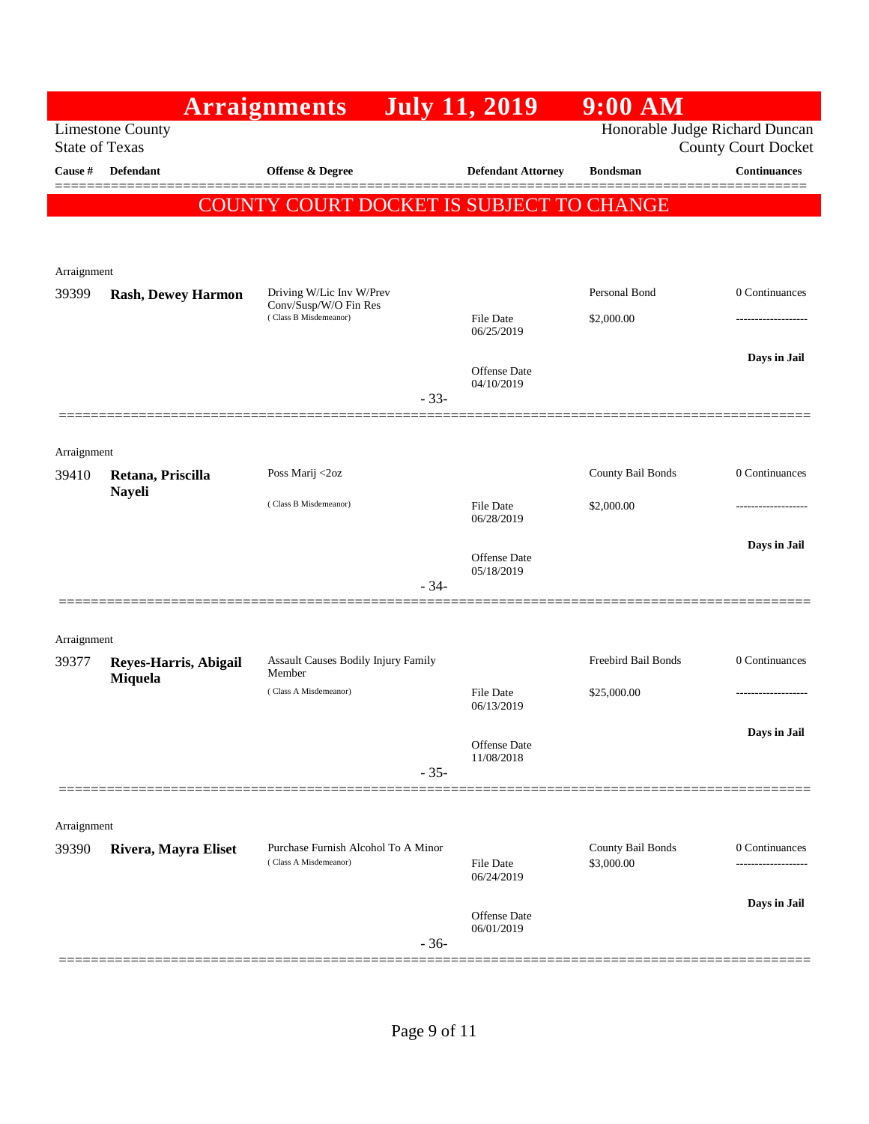|                       |                                    | <b>Arraignments</b>                               |        | <b>July 11, 2019</b>              | $9:00$ AM                      |                            |
|-----------------------|------------------------------------|---------------------------------------------------|--------|-----------------------------------|--------------------------------|----------------------------|
| <b>State of Texas</b> | <b>Limestone County</b>            |                                                   |        |                                   | Honorable Judge Richard Duncan | <b>County Court Docket</b> |
| Cause #               | Defendant                          | Offense & Degree                                  |        | <b>Defendant Attorney</b>         | <b>Bondsman</b>                | <b>Continuances</b>        |
|                       |                                    |                                                   |        |                                   |                                |                            |
|                       |                                    | COUNTY COURT DOCKET IS SUBJECT TO CHANGE          |        |                                   |                                |                            |
|                       |                                    |                                                   |        |                                   |                                |                            |
| Arraignment           |                                    |                                                   |        |                                   |                                |                            |
| 39399                 | <b>Rash, Dewey Harmon</b>          | Driving W/Lic Inv W/Prev<br>Conv/Susp/W/O Fin Res |        |                                   | Personal Bond                  | 0 Continuances             |
|                       |                                    | (Class B Misdemeanor)                             |        | File Date<br>06/25/2019           | \$2,000.00                     | -----------------          |
|                       |                                    |                                                   |        |                                   |                                | Days in Jail               |
|                       |                                    |                                                   |        | <b>Offense</b> Date<br>04/10/2019 |                                |                            |
|                       |                                    |                                                   | $-33-$ |                                   |                                |                            |
|                       |                                    |                                                   |        |                                   |                                |                            |
| Arraignment           |                                    |                                                   |        |                                   |                                |                            |
| 39410                 | Retana, Priscilla<br><b>Nayeli</b> | Poss Marij <2oz                                   |        |                                   | County Bail Bonds              | 0 Continuances             |
|                       |                                    | (Class B Misdemeanor)                             |        | File Date<br>06/28/2019           | \$2,000.00                     | ------------------         |
|                       |                                    |                                                   |        |                                   |                                | Days in Jail               |
|                       |                                    |                                                   |        | <b>Offense</b> Date<br>05/18/2019 |                                |                            |
|                       |                                    |                                                   | $-34-$ |                                   |                                |                            |
|                       |                                    |                                                   |        |                                   |                                |                            |
| Arraignment<br>39377  | Reyes-Harris, Abigail              | Assault Causes Bodily Injury Family               |        |                                   | Freebird Bail Bonds            | 0 Continuances             |
|                       | Miquela                            | Member                                            |        |                                   |                                |                            |
|                       |                                    | (Class A Misdemeanor)                             |        | File Date<br>06/13/2019           | \$25,000.00                    |                            |
|                       |                                    |                                                   |        |                                   |                                | Days in Jail               |
|                       |                                    |                                                   |        | Offense Date<br>11/08/2018        |                                |                            |
|                       |                                    |                                                   | $-35-$ |                                   |                                |                            |
|                       |                                    |                                                   |        |                                   |                                |                            |
| Arraignment<br>39390  | Rivera, Mayra Eliset               | Purchase Furnish Alcohol To A Minor               |        |                                   | County Bail Bonds              | 0 Continuances             |
|                       |                                    | (Class A Misdemeanor)                             |        | <b>File Date</b><br>06/24/2019    | \$3,000.00                     | -------------------        |
|                       |                                    |                                                   |        |                                   |                                | Days in Jail               |
|                       |                                    |                                                   |        | <b>Offense</b> Date<br>06/01/2019 |                                |                            |
|                       |                                    |                                                   | $-36-$ |                                   |                                |                            |
|                       |                                    |                                                   |        |                                   |                                |                            |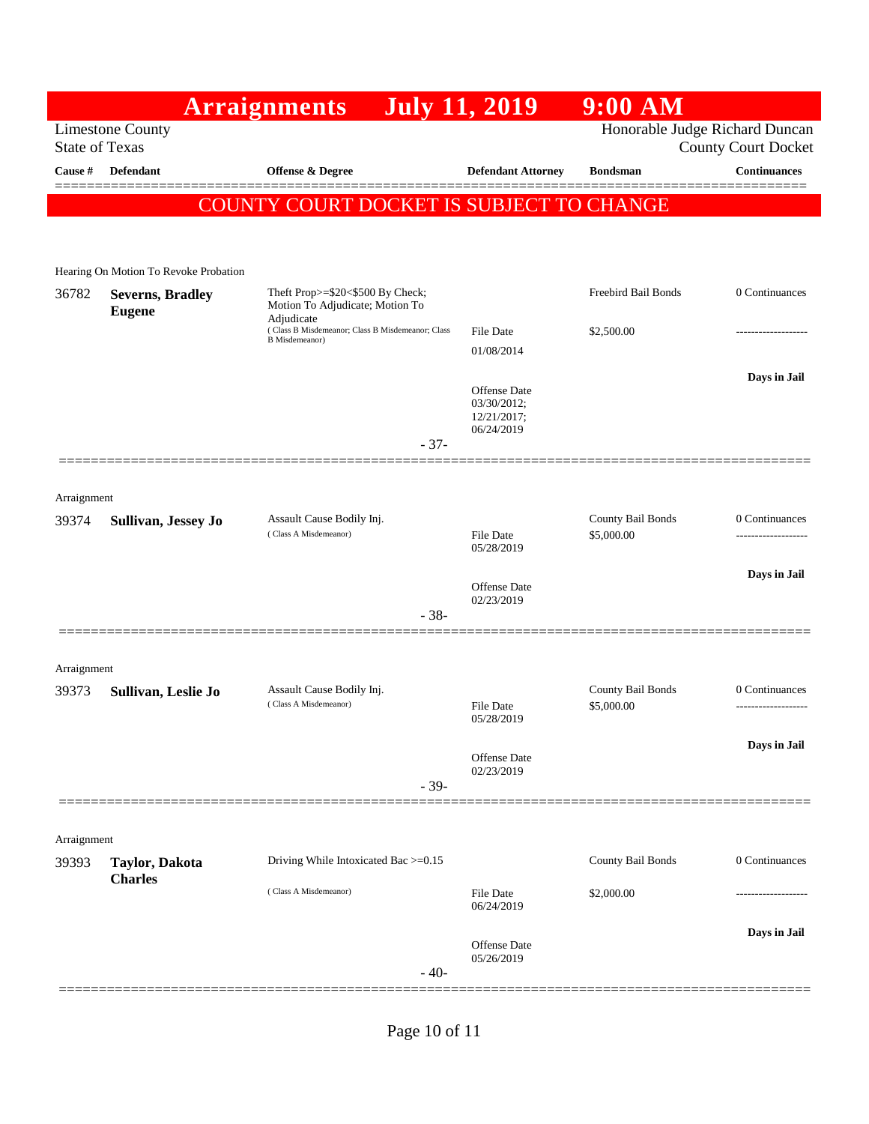|             |                                                  | <b>Arraignments</b>                                                               | <b>July 11, 2019</b>              | $9:00$ AM                       |                                                   |
|-------------|--------------------------------------------------|-----------------------------------------------------------------------------------|-----------------------------------|---------------------------------|---------------------------------------------------|
|             | <b>Limestone County</b><br><b>State of Texas</b> |                                                                                   |                                   | Honorable Judge Richard Duncan  |                                                   |
| Cause #     | Defendant                                        | <b>Offense &amp; Degree</b>                                                       | <b>Defendant Attorney</b>         | <b>Bondsman</b>                 | <b>County Court Docket</b><br><b>Continuances</b> |
|             |                                                  |                                                                                   |                                   |                                 |                                                   |
|             |                                                  | COUNTY COURT DOCKET IS SUBJECT TO CHANGE                                          |                                   |                                 |                                                   |
|             |                                                  |                                                                                   |                                   |                                 |                                                   |
|             | Hearing On Motion To Revoke Probation            |                                                                                   |                                   |                                 |                                                   |
| 36782       | <b>Severns, Bradley</b><br><b>Eugene</b>         | Theft Prop>=\$20<\$500 By Check;<br>Motion To Adjudicate; Motion To<br>Adjudicate |                                   | Freebird Bail Bonds             | 0 Continuances                                    |
|             |                                                  | (Class B Misdemeanor; Class B Misdemeanor; Class<br><b>B</b> Misdemeanor)         | <b>File Date</b>                  | \$2,500.00                      | -----------------                                 |
|             |                                                  |                                                                                   | 01/08/2014                        |                                 |                                                   |
|             |                                                  |                                                                                   | <b>Offense Date</b>               |                                 | Days in Jail                                      |
|             |                                                  |                                                                                   | 03/30/2012;                       |                                 |                                                   |
|             |                                                  |                                                                                   | 12/21/2017;<br>06/24/2019         |                                 |                                                   |
|             |                                                  | $-37-$                                                                            |                                   |                                 |                                                   |
|             |                                                  |                                                                                   |                                   |                                 |                                                   |
| Arraignment |                                                  |                                                                                   |                                   |                                 |                                                   |
| 39374       | Sullivan, Jessey Jo                              | Assault Cause Bodily Inj.<br>(Class A Misdemeanor)                                | File Date                         | County Bail Bonds<br>\$5,000.00 | 0 Continuances                                    |
|             |                                                  |                                                                                   | 05/28/2019                        |                                 |                                                   |
|             |                                                  |                                                                                   |                                   |                                 | Days in Jail                                      |
|             |                                                  |                                                                                   | Offense Date<br>02/23/2019        |                                 |                                                   |
|             |                                                  | $-38-$                                                                            |                                   |                                 |                                                   |
|             |                                                  |                                                                                   |                                   |                                 |                                                   |
| Arraignment |                                                  |                                                                                   |                                   |                                 |                                                   |
| 39373       | Sullivan, Leslie Jo                              | Assault Cause Bodily Inj.<br>(Class A Misdemeanor)                                | File Date                         | County Bail Bonds<br>\$5,000.00 | 0 Continuances<br>------------------              |
|             |                                                  |                                                                                   | 05/28/2019                        |                                 |                                                   |
|             |                                                  |                                                                                   |                                   |                                 | Days in Jail                                      |
|             |                                                  |                                                                                   | <b>Offense Date</b><br>02/23/2019 |                                 |                                                   |
|             |                                                  | $-39-$                                                                            |                                   |                                 |                                                   |
|             |                                                  |                                                                                   |                                   |                                 |                                                   |
| Arraignment |                                                  |                                                                                   |                                   |                                 |                                                   |
| 39393       | Taylor, Dakota<br><b>Charles</b>                 | Driving While Intoxicated Bac >=0.15                                              |                                   |                                 | 0 Continuances                                    |
|             |                                                  | (Class A Misdemeanor)                                                             | <b>File Date</b><br>06/24/2019    | \$2,000.00                      |                                                   |
|             |                                                  |                                                                                   |                                   |                                 | Days in Jail                                      |
|             |                                                  |                                                                                   | <b>Offense Date</b><br>05/26/2019 |                                 |                                                   |
|             |                                                  | $-40-$                                                                            |                                   |                                 |                                                   |